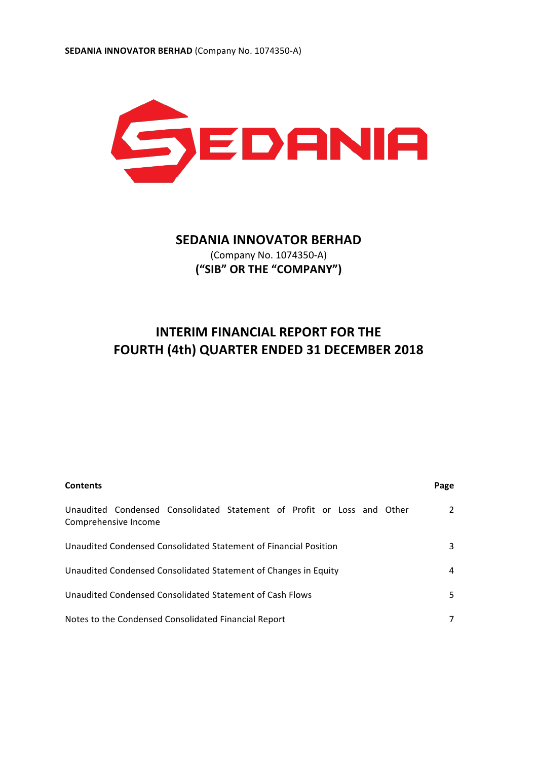

# **SEDANIA INNOVATOR BERHAD**

(Company No. 1074350-A) **("SIB" OR THE "COMPANY")**

# **INTERIM FINANCIAL REPORT FOR THE FOURTH (4th) QUARTER ENDED 31 DECEMBER 2018**

| <b>Contents</b>                                                                                | Page |
|------------------------------------------------------------------------------------------------|------|
| Unaudited Condensed Consolidated Statement of Profit or Loss and Other<br>Comprehensive Income | 2    |
| Unaudited Condensed Consolidated Statement of Financial Position                               | 3    |
| Unaudited Condensed Consolidated Statement of Changes in Equity                                | 4    |
| Unaudited Condensed Consolidated Statement of Cash Flows                                       | 5.   |
| Notes to the Condensed Consolidated Financial Report                                           |      |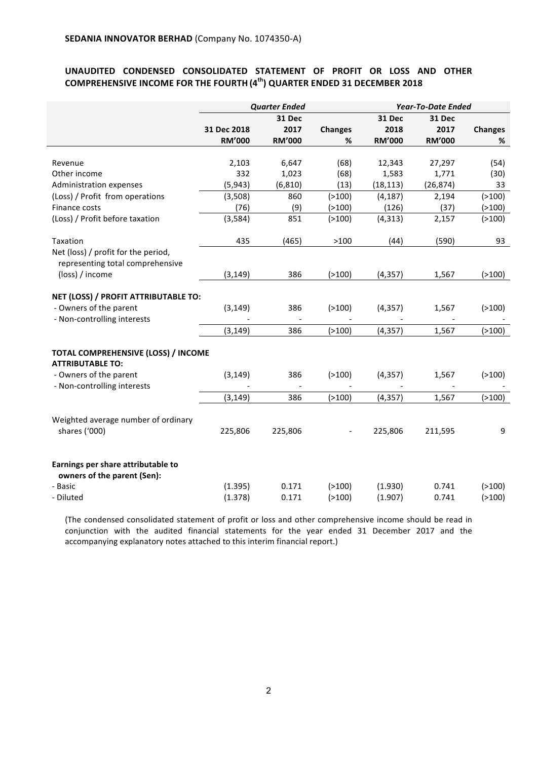## UNAUDITED CONDENSED CONSOLIDATED STATEMENT OF PROFIT OR LOSS AND OTHER **COMPREHENSIVE INCOME FOR THE FOURTH (4<sup>th</sup>) QUARTER ENDED 31 DECEMBER 2018**

|                                                                         | <b>Quarter Ended</b> |               |                | <b>Year-To-Date Ended</b> |               |                |
|-------------------------------------------------------------------------|----------------------|---------------|----------------|---------------------------|---------------|----------------|
|                                                                         |                      | 31 Dec        |                | 31 Dec                    | 31 Dec        |                |
|                                                                         | 31 Dec 2018          | 2017          | <b>Changes</b> | 2018                      | 2017          | <b>Changes</b> |
|                                                                         | <b>RM'000</b>        | <b>RM'000</b> | %              | <b>RM'000</b>             | <b>RM'000</b> | %              |
|                                                                         |                      |               |                |                           |               |                |
| Revenue                                                                 | 2,103                | 6,647         | (68)           | 12,343                    | 27,297        | (54)           |
| Other income                                                            | 332                  | 1,023         | (68)           | 1,583                     | 1,771         | (30)           |
| Administration expenses                                                 | (5, 943)             | (6, 810)      | (13)           | (18, 113)                 | (26, 874)     | 33             |
| (Loss) / Profit from operations                                         | (3,508)              | 860           | ( > 100)       | (4, 187)                  | 2,194         | ( > 100)       |
| Finance costs                                                           | (76)                 | (9)           | ( > 100)       | (126)                     | (37)          | ( > 100)       |
| (Loss) / Profit before taxation                                         | (3, 584)             | 851           | ( > 100)       | (4, 313)                  | 2,157         | ( > 100)       |
| Taxation                                                                | 435                  | (465)         | >100           | (44)                      | (590)         | 93             |
| Net (loss) / profit for the period,<br>representing total comprehensive |                      |               |                |                           |               |                |
| (loss) / income                                                         | (3, 149)             | 386           | ( > 100)       | (4, 357)                  | 1,567         | ( > 100)       |
| NET (LOSS) / PROFIT ATTRIBUTABLE TO:                                    |                      |               |                |                           |               |                |
| - Owners of the parent                                                  | (3, 149)             | 386           | ( > 100)       | (4, 357)                  | 1,567         | ( > 100)       |
| - Non-controlling interests                                             |                      |               |                |                           |               |                |
|                                                                         | (3, 149)             | 386           | ( > 100)       | (4, 357)                  | 1,567         | ( > 100)       |
| TOTAL COMPREHENSIVE (LOSS) / INCOME                                     |                      |               |                |                           |               |                |
| <b>ATTRIBUTABLE TO:</b>                                                 |                      |               |                |                           |               |                |
| - Owners of the parent                                                  | (3, 149)             | 386           | ( > 100)       | (4, 357)                  | 1,567         | ( > 100)       |
| - Non-controlling interests                                             |                      |               |                |                           |               |                |
|                                                                         | (3, 149)             | 386           | ( > 100)       | (4, 357)                  | 1,567         | ( > 100)       |
| Weighted average number of ordinary                                     |                      |               |                |                           |               |                |
| shares ('000)                                                           | 225,806              | 225,806       |                | 225,806                   | 211,595       | 9              |
| Earnings per share attributable to<br>owners of the parent (Sen):       |                      |               |                |                           |               |                |
| - Basic                                                                 | (1.395)              | 0.171         | ( > 100)       | (1.930)                   | 0.741         | ( > 100)       |
| - Diluted                                                               | (1.378)              | 0.171         | ( > 100)       | (1.907)                   | 0.741         | ( > 100)       |

(The condensed consolidated statement of profit or loss and other comprehensive income should be read in conjunction with the audited financial statements for the year ended 31 December 2017 and the accompanying explanatory notes attached to this interim financial report.)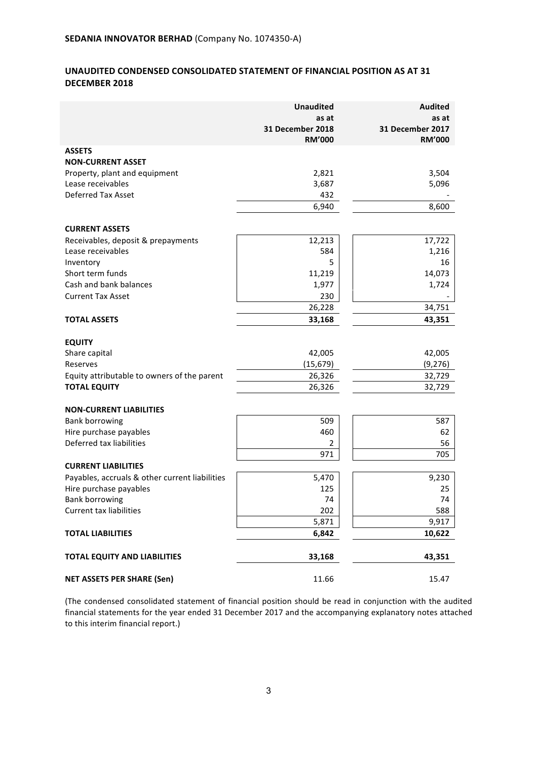## **UNAUDITED CONDENSED CONSOLIDATED STATEMENT OF FINANCIAL POSITION AS AT 31 DECEMBER 2018**

|                                                | <b>Unaudited</b><br>as at<br>31 December 2018<br><b>RM'000</b> | <b>Audited</b><br>as at<br>31 December 2017<br><b>RM'000</b> |
|------------------------------------------------|----------------------------------------------------------------|--------------------------------------------------------------|
| <b>ASSETS</b>                                  |                                                                |                                                              |
| <b>NON-CURRENT ASSET</b>                       |                                                                |                                                              |
| Property, plant and equipment                  | 2,821                                                          | 3,504                                                        |
| Lease receivables                              | 3,687                                                          | 5,096                                                        |
| <b>Deferred Tax Asset</b>                      | 432                                                            |                                                              |
|                                                | 6,940                                                          | 8,600                                                        |
| <b>CURRENT ASSETS</b>                          |                                                                |                                                              |
| Receivables, deposit & prepayments             | 12,213                                                         | 17,722                                                       |
| Lease receivables                              | 584                                                            | 1,216                                                        |
| Inventory                                      | 5                                                              | 16                                                           |
| Short term funds                               | 11,219                                                         | 14,073                                                       |
| Cash and bank balances                         | 1,977                                                          | 1,724                                                        |
| <b>Current Tax Asset</b>                       | 230                                                            |                                                              |
|                                                | 26,228                                                         | 34,751                                                       |
| <b>TOTAL ASSETS</b>                            | 33,168                                                         | 43,351                                                       |
|                                                |                                                                |                                                              |
| <b>EQUITY</b><br>Share capital                 | 42,005                                                         | 42,005                                                       |
| Reserves                                       | (15, 679)                                                      | (9, 276)                                                     |
| Equity attributable to owners of the parent    | 26,326                                                         | 32,729                                                       |
| <b>TOTAL EQUITY</b>                            | 26,326                                                         | 32,729                                                       |
|                                                |                                                                |                                                              |
| <b>NON-CURRENT LIABILITIES</b>                 |                                                                |                                                              |
| <b>Bank borrowing</b>                          | 509                                                            | 587                                                          |
| Hire purchase payables                         | 460                                                            | 62                                                           |
| Deferred tax liabilities                       | 2                                                              | 56                                                           |
|                                                | 971                                                            | 705                                                          |
| <b>CURRENT LIABILITIES</b>                     |                                                                |                                                              |
| Payables, accruals & other current liabilities | 5,470                                                          | 9,230                                                        |
| Hire purchase payables                         | 125                                                            | 25                                                           |
| <b>Bank borrowing</b>                          | 74                                                             | 74                                                           |
| <b>Current tax liabilities</b>                 | 202                                                            | 588                                                          |
|                                                | 5,871                                                          | 9,917                                                        |
| <b>TOTAL LIABILITIES</b>                       | 6,842                                                          | 10,622                                                       |
| <b>TOTAL EQUITY AND LIABILITIES</b>            | 33,168                                                         | 43,351                                                       |
| <b>NET ASSETS PER SHARE (Sen)</b>              | 11.66                                                          | 15.47                                                        |

(The condensed consolidated statement of financial position should be read in conjunction with the audited financial statements for the year ended 31 December 2017 and the accompanying explanatory notes attached to this interim financial report.)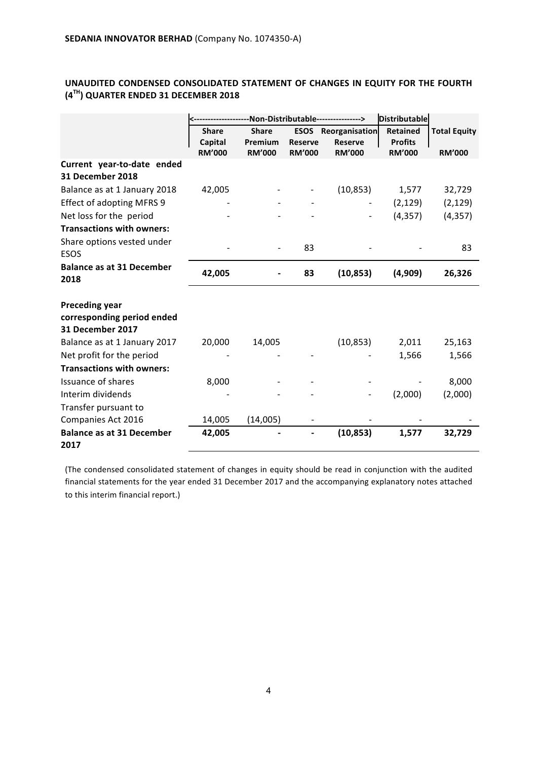## UNAUDITED CONDENSED CONSOLIDATED STATEMENT OF CHANGES IN EQUITY FOR THE FOURTH **(4TH) QUARTER ENDED 31 DECEMBER 2018**

|                                                |                         |                         |                | --------------Non-Distributable----------------> | <b>Distributable</b>              |                     |
|------------------------------------------------|-------------------------|-------------------------|----------------|--------------------------------------------------|-----------------------------------|---------------------|
|                                                | <b>Share</b><br>Capital | <b>Share</b><br>Premium | <b>Reserve</b> | <b>ESOS</b> Reorganisation<br><b>Reserve</b>     | <b>Retained</b><br><b>Profits</b> | <b>Total Equity</b> |
|                                                | <b>RM'000</b>           | <b>RM'000</b>           | <b>RM'000</b>  | <b>RM'000</b>                                    | <b>RM'000</b>                     | <b>RM'000</b>       |
| Current year-to-date ended<br>31 December 2018 |                         |                         |                |                                                  |                                   |                     |
| Balance as at 1 January 2018                   | 42,005                  |                         |                | (10, 853)                                        | 1,577                             | 32,729              |
| <b>Effect of adopting MFRS 9</b>               |                         |                         |                |                                                  | (2, 129)                          | (2, 129)            |
| Net loss for the period                        |                         |                         |                |                                                  | (4, 357)                          | (4, 357)            |
| <b>Transactions with owners:</b>               |                         |                         |                |                                                  |                                   |                     |
| Share options vested under<br><b>ESOS</b>      |                         |                         | 83             |                                                  |                                   | 83                  |
| <b>Balance as at 31 December</b><br>2018       | 42,005                  |                         | 83             | (10, 853)                                        | (4,909)                           | 26,326              |
| <b>Preceding year</b>                          |                         |                         |                |                                                  |                                   |                     |
| corresponding period ended<br>31 December 2017 |                         |                         |                |                                                  |                                   |                     |
| Balance as at 1 January 2017                   | 20,000                  | 14,005                  |                | (10, 853)                                        | 2,011                             | 25,163              |
| Net profit for the period                      |                         |                         |                |                                                  | 1,566                             | 1,566               |
| <b>Transactions with owners:</b>               |                         |                         |                |                                                  |                                   |                     |
| Issuance of shares                             | 8,000                   |                         |                |                                                  |                                   | 8,000               |
| Interim dividends                              |                         |                         |                |                                                  | (2,000)                           | (2,000)             |
| Transfer pursuant to                           |                         |                         |                |                                                  |                                   |                     |
| Companies Act 2016                             | 14,005                  | (14,005)                |                |                                                  |                                   |                     |
| <b>Balance as at 31 December</b><br>2017       | 42,005                  |                         |                | (10, 853)                                        | 1,577                             | 32,729              |

(The condensed consolidated statement of changes in equity should be read in conjunction with the audited financial statements for the year ended 31 December 2017 and the accompanying explanatory notes attached to this interim financial report.)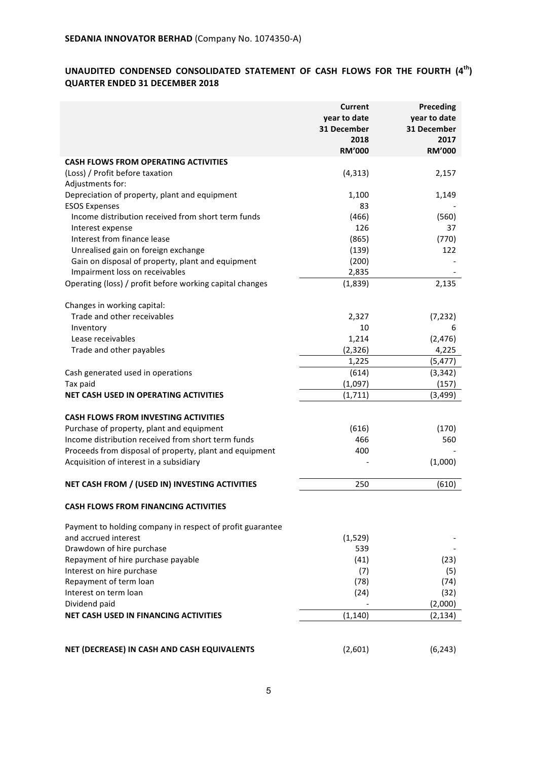## UNAUDITED CONDENSED CONSOLIDATED STATEMENT OF CASH FLOWS FOR THE FOURTH  $(4^{th})$ **QUARTER ENDED 31 DECEMBER 2018**

|                                                           | <b>Current</b><br>year to date<br>31 December<br>2018<br><b>RM'000</b> | Preceding<br>year to date<br>31 December<br>2017<br><b>RM'000</b> |
|-----------------------------------------------------------|------------------------------------------------------------------------|-------------------------------------------------------------------|
| <b>CASH FLOWS FROM OPERATING ACTIVITIES</b>               |                                                                        |                                                                   |
| (Loss) / Profit before taxation<br>Adjustments for:       | (4, 313)                                                               | 2,157                                                             |
| Depreciation of property, plant and equipment             | 1,100                                                                  | 1,149                                                             |
| <b>ESOS Expenses</b>                                      | 83                                                                     |                                                                   |
| Income distribution received from short term funds        | (466)                                                                  | (560)                                                             |
| Interest expense                                          | 126                                                                    | 37                                                                |
| Interest from finance lease                               | (865)                                                                  | (770)                                                             |
| Unrealised gain on foreign exchange                       | (139)                                                                  | 122                                                               |
| Gain on disposal of property, plant and equipment         | (200)                                                                  |                                                                   |
| Impairment loss on receivables                            | 2,835                                                                  |                                                                   |
| Operating (loss) / profit before working capital changes  | (1,839)                                                                | 2,135                                                             |
| Changes in working capital:                               |                                                                        |                                                                   |
| Trade and other receivables                               | 2,327                                                                  | (7, 232)                                                          |
| Inventory                                                 | 10                                                                     | 6                                                                 |
| Lease receivables                                         | 1,214                                                                  | (2, 476)                                                          |
| Trade and other payables                                  | (2, 326)                                                               | 4,225                                                             |
|                                                           | 1,225                                                                  | (5, 477)                                                          |
| Cash generated used in operations                         | (614)                                                                  | (3, 342)                                                          |
| Tax paid                                                  | (1,097)                                                                | (157)                                                             |
| NET CASH USED IN OPERATING ACTIVITIES                     | (1, 711)                                                               | (3, 499)                                                          |
| <b>CASH FLOWS FROM INVESTING ACTIVITIES</b>               |                                                                        |                                                                   |
| Purchase of property, plant and equipment                 | (616)                                                                  | (170)                                                             |
| Income distribution received from short term funds        | 466                                                                    | 560                                                               |
| Proceeds from disposal of property, plant and equipment   | 400                                                                    |                                                                   |
| Acquisition of interest in a subsidiary                   |                                                                        | (1,000)                                                           |
| NET CASH FROM / (USED IN) INVESTING ACTIVITIES            | 250                                                                    | (610)                                                             |
| <b>CASH FLOWS FROM FINANCING ACTIVITIES</b>               |                                                                        |                                                                   |
| Payment to holding company in respect of profit guarantee |                                                                        |                                                                   |
| and accrued interest                                      | (1, 529)                                                               |                                                                   |
| Drawdown of hire purchase                                 | 539                                                                    |                                                                   |
| Repayment of hire purchase payable                        | (41)                                                                   | (23)                                                              |
| Interest on hire purchase                                 | (7)                                                                    | (5)                                                               |
| Repayment of term loan                                    | (78)                                                                   | (74)                                                              |
| Interest on term loan                                     | (24)                                                                   | (32)                                                              |
| Dividend paid                                             |                                                                        | (2,000)                                                           |
| <b>NET CASH USED IN FINANCING ACTIVITIES</b>              | (1, 140)                                                               | (2, 134)                                                          |
|                                                           |                                                                        |                                                                   |
|                                                           |                                                                        |                                                                   |
| NET (DECREASE) IN CASH AND CASH EQUIVALENTS               | (2,601)                                                                | (6, 243)                                                          |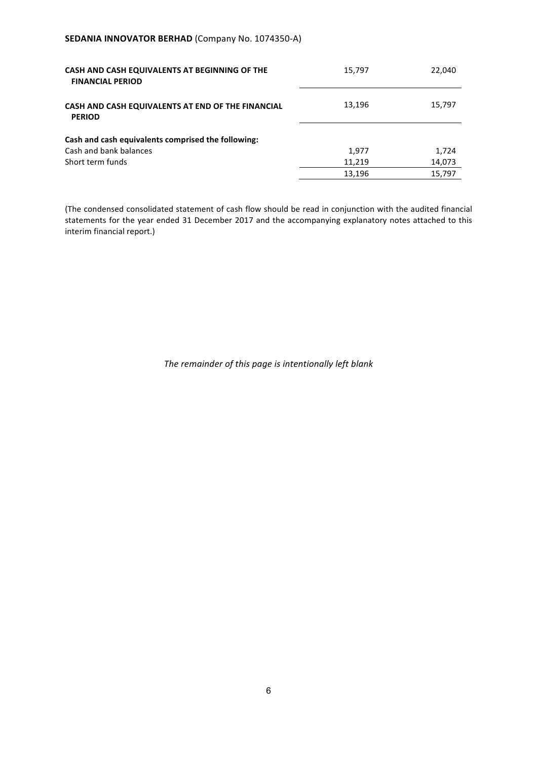## **SEDANIA INNOVATOR BERHAD (Company No. 1074350-A)**

| CASH AND CASH EQUIVALENTS AT BEGINNING OF THE<br><b>FINANCIAL PERIOD</b> | 15,797 | 22,040 |
|--------------------------------------------------------------------------|--------|--------|
| CASH AND CASH EQUIVALENTS AT END OF THE FINANCIAL<br><b>PERIOD</b>       | 13,196 | 15,797 |
| Cash and cash equivalents comprised the following:                       |        |        |
| Cash and bank balances                                                   | 1,977  | 1,724  |
| Short term funds                                                         | 11.219 | 14,073 |
|                                                                          | 13,196 | 15.797 |

(The condensed consolidated statement of cash flow should be read in conjunction with the audited financial statements for the year ended 31 December 2017 and the accompanying explanatory notes attached to this interim financial report.)

The remainder of this page is intentionally left blank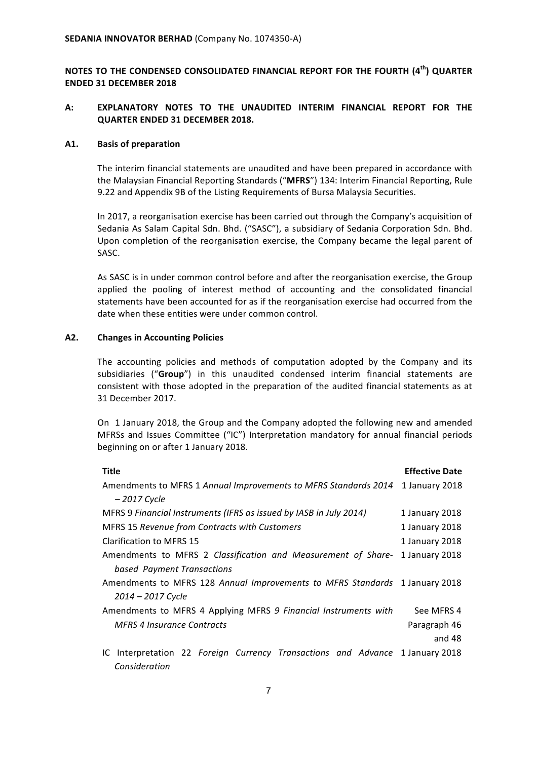**NOTES TO THE CONDENSED CONSOLIDATED FINANCIAL REPORT FOR THE FOURTH (4<sup>th</sup>) QUARTER ENDED 31 DECEMBER 2018**

## A: **EXPLANATORY NOTES TO THE UNAUDITED INTERIM FINANCIAL REPORT FOR THE QUARTER ENDED 31 DECEMBER 2018.**

#### **A1. Basis of preparation**

The interim financial statements are unaudited and have been prepared in accordance with the Malaysian Financial Reporting Standards ("MFRS") 134: Interim Financial Reporting, Rule 9.22 and Appendix 9B of the Listing Requirements of Bursa Malaysia Securities.

In 2017, a reorganisation exercise has been carried out through the Company's acquisition of Sedania As Salam Capital Sdn. Bhd. ("SASC"), a subsidiary of Sedania Corporation Sdn. Bhd. Upon completion of the reorganisation exercise, the Company became the legal parent of SASC.

As SASC is in under common control before and after the reorganisation exercise, the Group applied the pooling of interest method of accounting and the consolidated financial statements have been accounted for as if the reorganisation exercise had occurred from the date when these entities were under common control.

#### A2. Changes in Accounting Policies

The accounting policies and methods of computation adopted by the Company and its subsidiaries ("Group") in this unaudited condensed interim financial statements are consistent with those adopted in the preparation of the audited financial statements as at 31 December 2017.

On 1 January 2018, the Group and the Company adopted the following new and amended MFRSs and Issues Committee ("IC") Interpretation mandatory for annual financial periods beginning on or after 1 January 2018.

| <b>Title</b>                                                                                       | <b>Effective Date</b> |
|----------------------------------------------------------------------------------------------------|-----------------------|
| Amendments to MFRS 1 Annual Improvements to MFRS Standards 2014                                    | 1 January 2018        |
| $-2017$ Cycle                                                                                      |                       |
| MFRS 9 Financial Instruments (IFRS as issued by IASB in July 2014)                                 | 1 January 2018        |
| <b>MFRS 15 Revenue from Contracts with Customers</b>                                               | 1 January 2018        |
| Clarification to MFRS 15                                                                           | 1 January 2018        |
| Amendments to MFRS 2 Classification and Measurement of Share-                                      | 1 January 2018        |
| based Payment Transactions                                                                         |                       |
| Amendments to MFRS 128 Annual Improvements to MFRS Standards 1 January 2018                        |                       |
| 2014 – 2017 Cycle                                                                                  |                       |
| Amendments to MFRS 4 Applying MFRS 9 Financial Instruments with                                    | See MFRS 4            |
| <b>MFRS 4 Insurance Contracts</b>                                                                  | Paragraph 46          |
|                                                                                                    | and 48                |
| Interpretation 22 Foreign Currency Transactions and Advance 1 January 2018<br>IC.<br>Consideration |                       |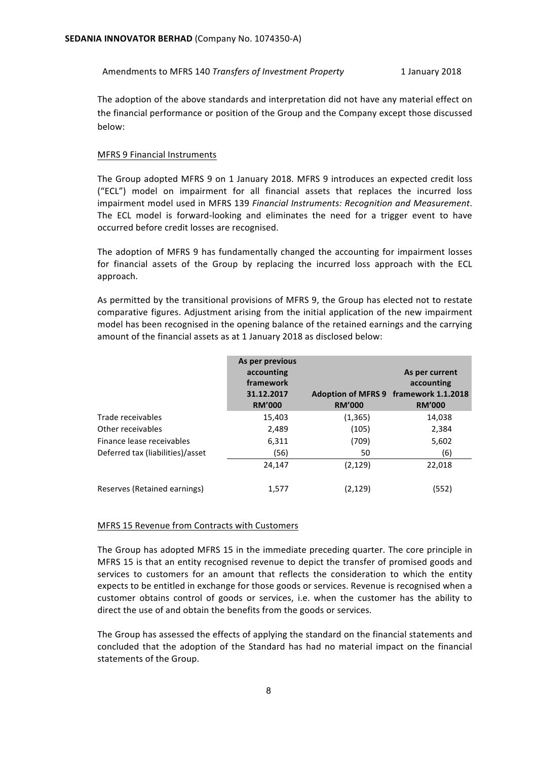Amendments to MFRS 140 *Transfers of Investment Property* 1 January 2018

The adoption of the above standards and interpretation did not have any material effect on the financial performance or position of the Group and the Company except those discussed below:

#### **MFRS 9 Financial Instruments**

The Group adopted MFRS 9 on 1 January 2018. MFRS 9 introduces an expected credit loss ("ECL") model on impairment for all financial assets that replaces the incurred loss impairment model used in MFRS 139 *Financial Instruments: Recognition and Measurement*. The ECL model is forward-looking and eliminates the need for a trigger event to have occurred before credit losses are recognised.

The adoption of MFRS 9 has fundamentally changed the accounting for impairment losses for financial assets of the Group by replacing the incurred loss approach with the ECL approach.

As permitted by the transitional provisions of MFRS 9, the Group has elected not to restate comparative figures. Adjustment arising from the initial application of the new impairment model has been recognised in the opening balance of the retained earnings and the carrying amount of the financial assets as at 1 January 2018 as disclosed below:

|                                  | As per previous<br>accounting<br>framework<br>31.12.2017<br><b>RM'000</b> | <b>RM'000</b> | As per current<br>accounting<br>Adoption of MFRS 9 framework 1.1.2018<br><b>RM'000</b> |
|----------------------------------|---------------------------------------------------------------------------|---------------|----------------------------------------------------------------------------------------|
| Trade receivables                | 15,403                                                                    | (1, 365)      | 14,038                                                                                 |
| Other receivables                | 2,489                                                                     | (105)         | 2,384                                                                                  |
| Finance lease receivables        | 6,311                                                                     | (709)         | 5,602                                                                                  |
| Deferred tax (liabilities)/asset | (56)                                                                      | 50            | (6)                                                                                    |
|                                  | 24,147                                                                    | (2, 129)      | 22,018                                                                                 |
| Reserves (Retained earnings)     | 1,577                                                                     | (2,129)       | (552)                                                                                  |

#### MFRS 15 Revenue from Contracts with Customers

The Group has adopted MFRS 15 in the immediate preceding quarter. The core principle in MFRS 15 is that an entity recognised revenue to depict the transfer of promised goods and services to customers for an amount that reflects the consideration to which the entity expects to be entitled in exchange for those goods or services. Revenue is recognised when a customer obtains control of goods or services, i.e. when the customer has the ability to direct the use of and obtain the benefits from the goods or services.

The Group has assessed the effects of applying the standard on the financial statements and concluded that the adoption of the Standard has had no material impact on the financial statements of the Group.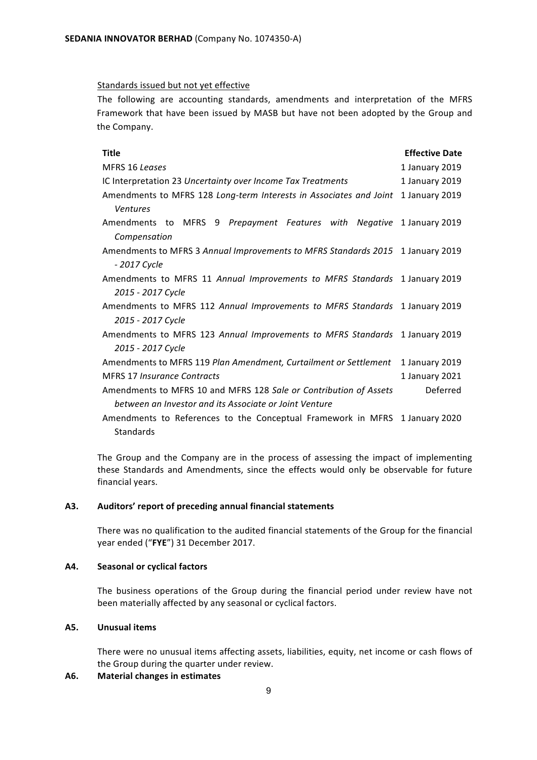#### Standards issued but not yet effective

The following are accounting standards, amendments and interpretation of the MFRS Framework that have been issued by MASB but have not been adopted by the Group and the Company.

| <b>Title</b>                                                                          | <b>Effective Date</b> |
|---------------------------------------------------------------------------------------|-----------------------|
| MFRS 16 Leases                                                                        | 1 January 2019        |
| IC Interpretation 23 Uncertainty over Income Tax Treatments                           | 1 January 2019        |
| Amendments to MFRS 128 Long-term Interests in Associates and Joint<br><b>Ventures</b> | 1 January 2019        |
| Amendments to MFRS 9 Prepayment Features with Negative 1 January 2019                 |                       |
| Compensation                                                                          |                       |
| Amendments to MFRS 3 Annual Improvements to MFRS Standards 2015 1 January 2019        |                       |
| - 2017 Cycle                                                                          |                       |
| Amendments to MFRS 11 Annual Improvements to MFRS Standards 1 January 2019            |                       |
| 2015 - 2017 Cycle                                                                     |                       |
| Amendments to MFRS 112 Annual Improvements to MFRS Standards 1 January 2019           |                       |
| 2015 - 2017 Cycle                                                                     |                       |
| Amendments to MFRS 123 Annual Improvements to MFRS Standards 1 January 2019           |                       |
| 2015 - 2017 Cycle                                                                     |                       |
| Amendments to MFRS 119 Plan Amendment, Curtailment or Settlement                      | 1 January 2019        |
| <b>MFRS 17 Insurance Contracts</b>                                                    | 1 January 2021        |
| Amendments to MFRS 10 and MFRS 128 Sale or Contribution of Assets                     | Deferred              |
| between an Investor and its Associate or Joint Venture                                |                       |
| Amendments to References to the Conceptual Framework in MFRS 1 January 2020           |                       |
| Standards                                                                             |                       |

The Group and the Company are in the process of assessing the impact of implementing these Standards and Amendments, since the effects would only be observable for future financial years.

#### A3. Auditors' report of preceding annual financial statements

There was no qualification to the audited financial statements of the Group for the financial year ended ("FYE") 31 December 2017.

#### **A4. Seasonal or cyclical factors**

The business operations of the Group during the financial period under review have not been materially affected by any seasonal or cyclical factors.

## **A5. Unusual items**

There were no unusual items affecting assets, liabilities, equity, net income or cash flows of the Group during the quarter under review.

## A6. Material changes in estimates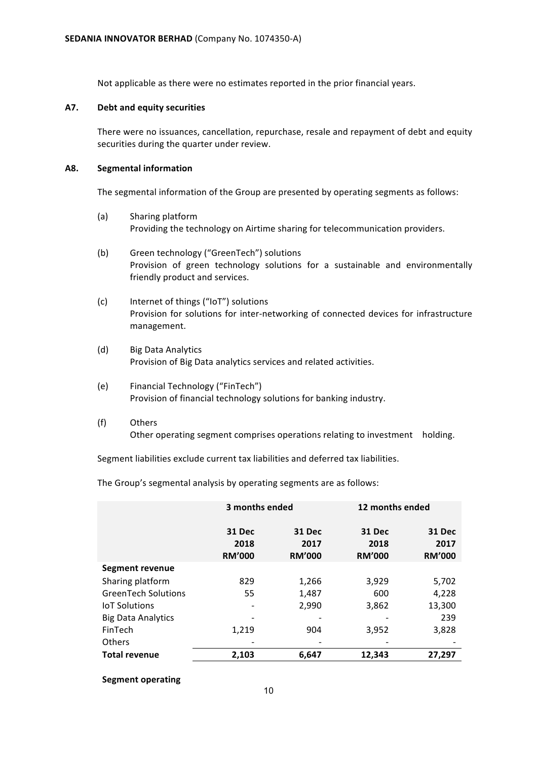Not applicable as there were no estimates reported in the prior financial years.

### **A7. Debt and equity securities**

There were no issuances, cancellation, repurchase, resale and repayment of debt and equity securities during the quarter under review.

## **A8. Segmental information**

The segmental information of the Group are presented by operating segments as follows:

- (a) Sharing platform Providing the technology on Airtime sharing for telecommunication providers.
- (b) Green technology ("GreenTech") solutions Provision of green technology solutions for a sustainable and environmentally friendly product and services.
- (c) Internet of things ("IoT") solutions Provision for solutions for inter-networking of connected devices for infrastructure management.
- (d) Big Data Analytics Provision of Big Data analytics services and related activities.
- (e) Financial Technology ("FinTech") Provision of financial technology solutions for banking industry.
- (f) Others Other operating segment comprises operations relating to investment holding.

Segment liabilities exclude current tax liabilities and deferred tax liabilities.

The Group's segmental analysis by operating segments are as follows:

|                            | 3 months ended                  |                                 | 12 months ended                 |                                 |
|----------------------------|---------------------------------|---------------------------------|---------------------------------|---------------------------------|
|                            | 31 Dec<br>2018<br><b>RM'000</b> | 31 Dec<br>2017<br><b>RM'000</b> | 31 Dec<br>2018<br><b>RM'000</b> | 31 Dec<br>2017<br><b>RM'000</b> |
| Segment revenue            |                                 |                                 |                                 |                                 |
| Sharing platform           | 829                             | 1,266                           | 3,929                           | 5,702                           |
| <b>GreenTech Solutions</b> | 55                              | 1,487                           | 600                             | 4,228                           |
| <b>IoT Solutions</b>       |                                 | 2,990                           | 3,862                           | 13,300                          |
| <b>Big Data Analytics</b>  |                                 |                                 |                                 | 239                             |
| FinTech                    | 1,219                           | 904                             | 3,952                           | 3.828                           |
| Others                     |                                 |                                 |                                 |                                 |
| <b>Total revenue</b>       | 2,103                           | 6,647                           | 12,343                          | 27,297                          |

## **Segment operating**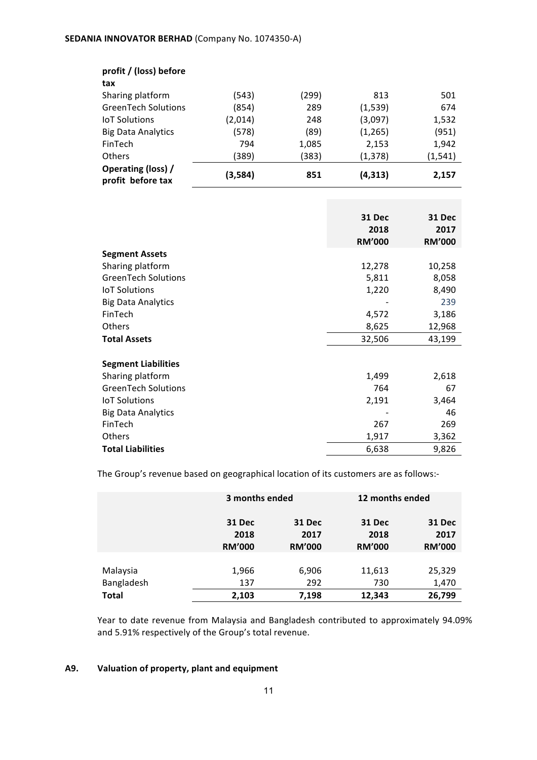| profit / (loss) before                  |         |       |          |          |
|-----------------------------------------|---------|-------|----------|----------|
| tax                                     |         |       |          |          |
| Sharing platform                        | (543)   | (299) | 813      | 501      |
| <b>GreenTech Solutions</b>              | (854)   | 289   | (1,539)  | 674      |
| <b>IoT Solutions</b>                    | (2,014) | 248   | (3,097)  | 1,532    |
| <b>Big Data Analytics</b>               | (578)   | (89)  | (1, 265) | (951)    |
| FinTech                                 | 794     | 1,085 | 2,153    | 1,942    |
| <b>Others</b>                           | (389)   | (383) | (1, 378) | (1, 541) |
| Operating (loss) /<br>profit before tax | (3,584) | 851   | (4, 313) | 2,157    |

|                            | <b>31 Dec</b><br>2018<br><b>RM'000</b> | 31 Dec<br>2017<br><b>RM'000</b> |
|----------------------------|----------------------------------------|---------------------------------|
| <b>Segment Assets</b>      |                                        |                                 |
| Sharing platform           | 12,278                                 | 10,258                          |
| <b>GreenTech Solutions</b> | 5,811                                  | 8,058                           |
| <b>IoT Solutions</b>       | 1,220                                  | 8,490                           |
| <b>Big Data Analytics</b>  |                                        | 239                             |
| FinTech                    | 4,572                                  | 3,186                           |
| Others                     | 8,625                                  | 12,968                          |
| <b>Total Assets</b>        | 32,506                                 | 43,199                          |
| <b>Segment Liabilities</b> |                                        |                                 |
| Sharing platform           | 1,499                                  | 2,618                           |
| <b>GreenTech Solutions</b> | 764                                    | 67                              |
| <b>IoT Solutions</b>       | 2,191                                  | 3,464                           |
| <b>Big Data Analytics</b>  |                                        | 46                              |
| FinTech                    | 267                                    | 269                             |
| Others                     | 1,917                                  | 3,362                           |
| <b>Total Liabilities</b>   | 6,638                                  | 9,826                           |

The Group's revenue based on geographical location of its customers are as follows:-

|              | 3 months ended                         |                                 | 12 months ended                 |                                        |
|--------------|----------------------------------------|---------------------------------|---------------------------------|----------------------------------------|
|              | <b>31 Dec</b><br>2018<br><b>RM'000</b> | 31 Dec<br>2017<br><b>RM'000</b> | 31 Dec<br>2018<br><b>RM'000</b> | <b>31 Dec</b><br>2017<br><b>RM'000</b> |
| Malaysia     | 1,966                                  | 6,906                           | 11,613                          | 25,329                                 |
| Bangladesh   | 137                                    | 292                             | 730                             | 1,470                                  |
| <b>Total</b> | 2,103                                  | 7,198                           | 12,343                          | 26,799                                 |

Year to date revenue from Malaysia and Bangladesh contributed to approximately 94.09% and 5.91% respectively of the Group's total revenue.

## A9. Valuation of property, plant and equipment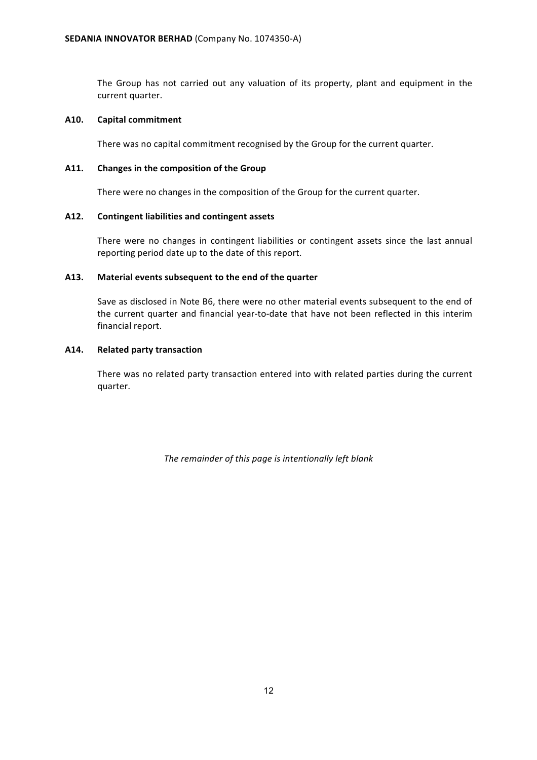The Group has not carried out any valuation of its property, plant and equipment in the current quarter.

## **A10. Capital commitment**

There was no capital commitment recognised by the Group for the current quarter.

## A11. Changes in the composition of the Group

There were no changes in the composition of the Group for the current quarter.

## A12. Contingent liabilities and contingent assets

There were no changes in contingent liabilities or contingent assets since the last annual reporting period date up to the date of this report.

## A13. Material events subsequent to the end of the quarter

Save as disclosed in Note B6, there were no other material events subsequent to the end of the current quarter and financial year-to-date that have not been reflected in this interim financial report.

## **A14. Related party transaction**

There was no related party transaction entered into with related parties during the current quarter.

The remainder of this page is intentionally left blank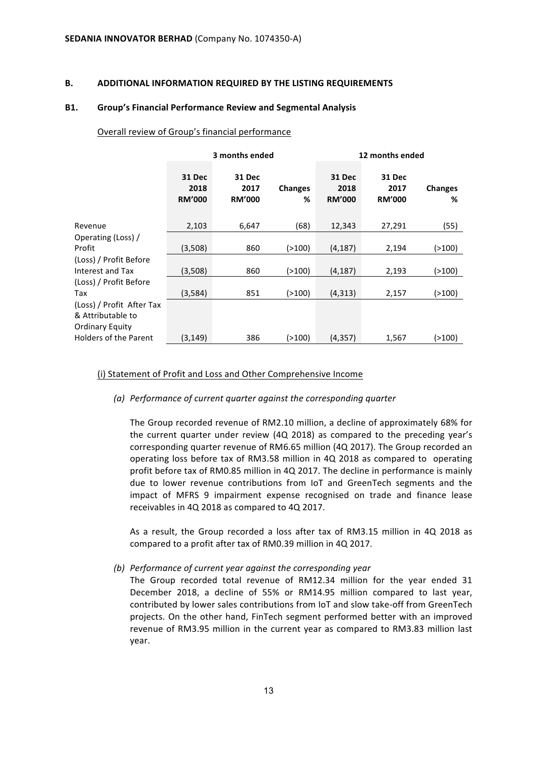#### **B. ADDITIONAL INFORMATION REQUIRED BY THE LISTING REQUIREMENTS**

#### **B1.** Group's Financial Performance Review and Segmental Analysis

#### Overall review of Group's financial performance

|                              | 3 months ended                         |                                        |                     | 12 months ended                        |                                        |                     |
|------------------------------|----------------------------------------|----------------------------------------|---------------------|----------------------------------------|----------------------------------------|---------------------|
|                              | <b>31 Dec</b><br>2018<br><b>RM'000</b> | <b>31 Dec</b><br>2017<br><b>RM'000</b> | <b>Changes</b><br>% | <b>31 Dec</b><br>2018<br><b>RM'000</b> | <b>31 Dec</b><br>2017<br><b>RM'000</b> | <b>Changes</b><br>% |
| Revenue                      | 2,103                                  | 6,647                                  | (68)                | 12,343                                 | 27,291                                 | (55)                |
| Operating (Loss) /           |                                        |                                        |                     |                                        |                                        |                     |
| Profit                       | (3,508)                                | 860                                    | (>100)              | (4, 187)                               | 2,194                                  | (>100)              |
| (Loss) / Profit Before       |                                        |                                        |                     |                                        |                                        |                     |
| Interest and Tax             | (3,508)                                | 860                                    | (>100)              | (4, 187)                               | 2,193                                  | (>100)              |
| (Loss) / Profit Before       |                                        |                                        |                     |                                        |                                        |                     |
| Tax                          | (3,584)                                | 851                                    | (>100)              | (4,313)                                | 2,157                                  | (>100)              |
| (Loss) / Profit After Tax    |                                        |                                        |                     |                                        |                                        |                     |
| & Attributable to            |                                        |                                        |                     |                                        |                                        |                     |
| <b>Ordinary Equity</b>       |                                        |                                        |                     |                                        |                                        |                     |
| <b>Holders of the Parent</b> | (3, 149)                               | 386                                    | (>100)              | (4, 357)                               | 1,567                                  | (>100)              |

#### (i) Statement of Profit and Loss and Other Comprehensive Income

*(a)* Performance of current quarter against the corresponding quarter

The Group recorded revenue of RM2.10 million, a decline of approximately 68% for the current quarter under review  $(4Q 2018)$  as compared to the preceding year's corresponding quarter revenue of RM6.65 million (4Q 2017). The Group recorded an operating loss before tax of RM3.58 million in 4Q 2018 as compared to operating profit before tax of RM0.85 million in 4Q 2017. The decline in performance is mainly due to lower revenue contributions from IoT and GreenTech segments and the impact of MFRS 9 impairment expense recognised on trade and finance lease receivables in 4Q 2018 as compared to 4Q 2017.

As a result, the Group recorded a loss after tax of RM3.15 million in 4Q 2018 as compared to a profit after tax of RM0.39 million in 4Q 2017.

*(b)* Performance of current year against the corresponding year

The Group recorded total revenue of RM12.34 million for the year ended 31 December 2018, a decline of 55% or RM14.95 million compared to last year, contributed by lower sales contributions from IoT and slow take-off from GreenTech projects. On the other hand, FinTech segment performed better with an improved revenue of RM3.95 million in the current year as compared to RM3.83 million last year.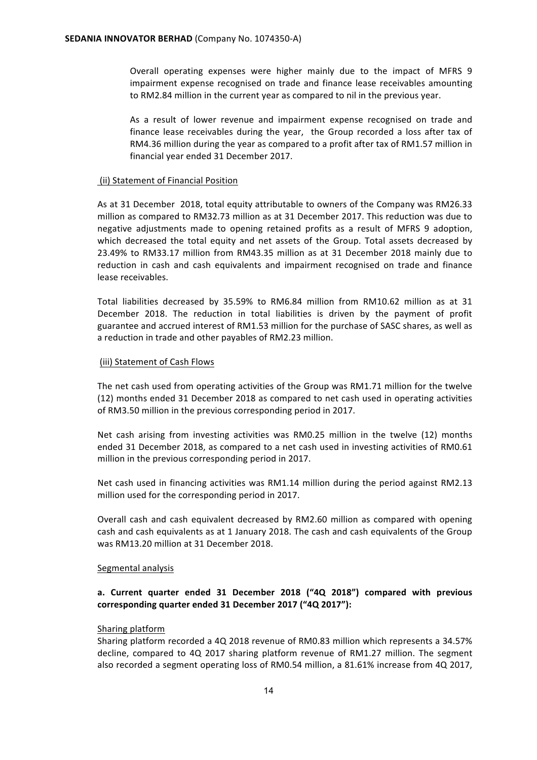Overall operating expenses were higher mainly due to the impact of MFRS 9 impairment expense recognised on trade and finance lease receivables amounting to RM2.84 million in the current year as compared to nil in the previous year.

As a result of lower revenue and impairment expense recognised on trade and finance lease receivables during the year, the Group recorded a loss after tax of RM4.36 million during the year as compared to a profit after tax of RM1.57 million in financial vear ended 31 December 2017.

## (ii) Statement of Financial Position

As at 31 December 2018, total equity attributable to owners of the Company was RM26.33 million as compared to RM32.73 million as at 31 December 2017. This reduction was due to negative adjustments made to opening retained profits as a result of MFRS 9 adoption, which decreased the total equity and net assets of the Group. Total assets decreased by 23.49% to RM33.17 million from RM43.35 million as at 31 December 2018 mainly due to reduction in cash and cash equivalents and impairment recognised on trade and finance lease receivables.

Total liabilities decreased by 35.59% to RM6.84 million from RM10.62 million as at 31 December 2018. The reduction in total liabilities is driven by the payment of profit guarantee and accrued interest of RM1.53 million for the purchase of SASC shares, as well as a reduction in trade and other payables of RM2.23 million.

#### (iii) Statement of Cash Flows

The net cash used from operating activities of the Group was RM1.71 million for the twelve (12) months ended 31 December 2018 as compared to net cash used in operating activities of RM3.50 million in the previous corresponding period in 2017.

Net cash arising from investing activities was RM0.25 million in the twelve (12) months ended 31 December 2018, as compared to a net cash used in investing activities of RM0.61 million in the previous corresponding period in 2017.

Net cash used in financing activities was RM1.14 million during the period against RM2.13 million used for the corresponding period in 2017.

Overall cash and cash equivalent decreased by RM2.60 million as compared with opening cash and cash equivalents as at 1 January 2018. The cash and cash equivalents of the Group was RM13.20 million at 31 December 2018.

#### Segmental analysis

## a. Current quarter ended 31 December 2018 ("4Q 2018") compared with previous corresponding quarter ended 31 December 2017 ("4Q 2017"):

#### Sharing platform

Sharing platform recorded a 4Q 2018 revenue of RM0.83 million which represents a 34.57% decline, compared to 4Q 2017 sharing platform revenue of RM1.27 million. The segment also recorded a segment operating loss of RM0.54 million, a 81.61% increase from 4Q 2017,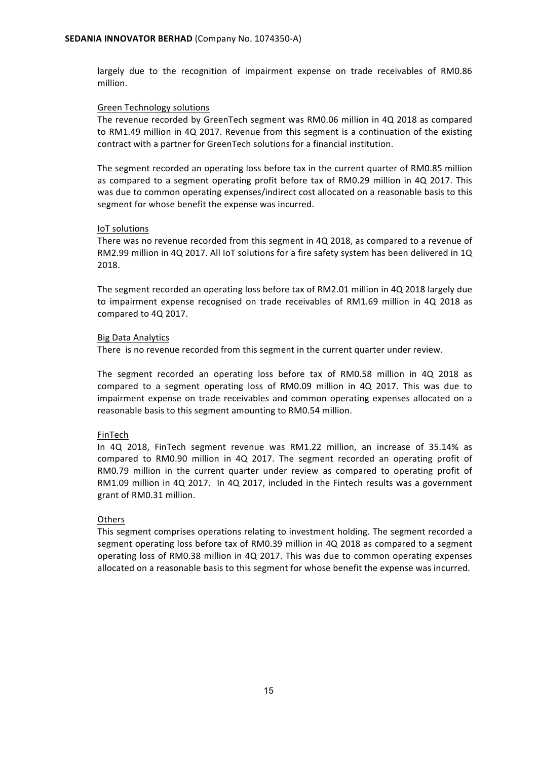largely due to the recognition of impairment expense on trade receivables of RM0.86 million.

#### Green Technology solutions

The revenue recorded by GreenTech segment was RM0.06 million in 4Q 2018 as compared to RM1.49 million in 4Q 2017. Revenue from this segment is a continuation of the existing contract with a partner for GreenTech solutions for a financial institution.

The segment recorded an operating loss before tax in the current quarter of RM0.85 million as compared to a segment operating profit before tax of RM0.29 million in 4Q 2017. This was due to common operating expenses/indirect cost allocated on a reasonable basis to this segment for whose benefit the expense was incurred.

#### IoT solutions

There was no revenue recorded from this segment in 4Q 2018, as compared to a revenue of RM2.99 million in 4Q 2017. All IoT solutions for a fire safety system has been delivered in 1Q 2018. 

The segment recorded an operating loss before tax of RM2.01 million in 4Q 2018 largely due to impairment expense recognised on trade receivables of RM1.69 million in 4Q 2018 as compared to 4Q 2017.

#### Big Data Analytics

There is no revenue recorded from this segment in the current quarter under review.

The segment recorded an operating loss before tax of RM0.58 million in 4Q 2018 as compared to a segment operating loss of RM0.09 million in 4Q 2017. This was due to impairment expense on trade receivables and common operating expenses allocated on a reasonable basis to this segment amounting to RM0.54 million.

#### FinTech

In 4Q 2018, FinTech segment revenue was RM1.22 million, an increase of 35.14% as compared to RM0.90 million in 4Q 2017. The segment recorded an operating profit of RM0.79 million in the current quarter under review as compared to operating profit of RM1.09 million in 4Q 2017. In 4Q 2017, included in the Fintech results was a government grant of RM0.31 million.

#### **Others**

This segment comprises operations relating to investment holding. The segment recorded a segment operating loss before tax of RM0.39 million in 4Q 2018 as compared to a segment operating loss of RM0.38 million in 4Q 2017. This was due to common operating expenses allocated on a reasonable basis to this segment for whose benefit the expense was incurred.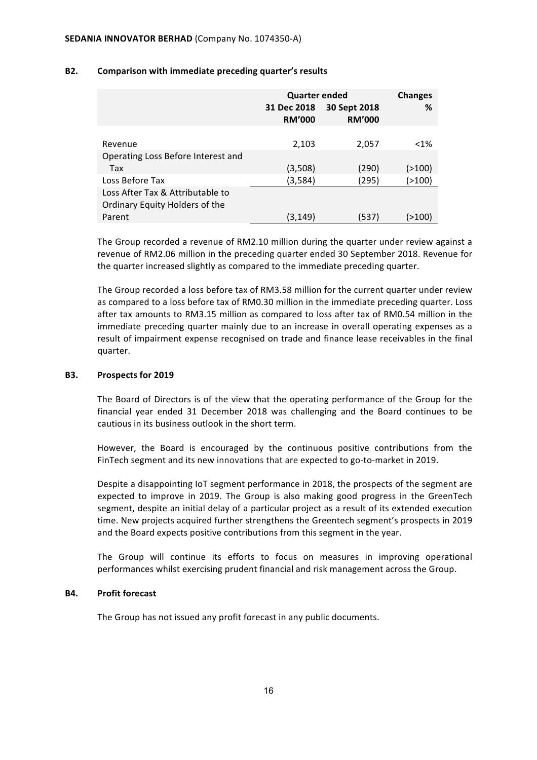|                                    | <b>Quarter ended</b> | <b>Changes</b> |         |
|------------------------------------|----------------------|----------------|---------|
|                                    | 31 Dec 2018          | 30 Sept 2018   | ℅       |
|                                    | <b>RM'000</b>        | <b>RM'000</b>  |         |
|                                    |                      |                |         |
| Revenue                            | 2,103                | 2,057          | $< 1\%$ |
| Operating Loss Before Interest and |                      |                |         |
| Tax                                | (3,508)              | (290)          | (>100)  |
| Loss Before Tax                    | (3,584)              | (295)          | (>100)  |
| Loss After Tax & Attributable to   |                      |                |         |
| Ordinary Equity Holders of the     |                      |                |         |
| Parent                             | (3,149)              | (537)          | (>100)  |

#### **B2.** Comparison with immediate preceding quarter's results

The Group recorded a revenue of RM2.10 million during the quarter under review against a revenue of RM2.06 million in the preceding quarter ended 30 September 2018. Revenue for the quarter increased slightly as compared to the immediate preceding quarter.

The Group recorded a loss before tax of RM3.58 million for the current quarter under review as compared to a loss before tax of RM0.30 million in the immediate preceding quarter. Loss after tax amounts to RM3.15 million as compared to loss after tax of RM0.54 million in the immediate preceding quarter mainly due to an increase in overall operating expenses as a result of impairment expense recognised on trade and finance lease receivables in the final quarter.

#### **B3.** Prospects for 2019

The Board of Directors is of the view that the operating performance of the Group for the financial year ended 31 December 2018 was challenging and the Board continues to be cautious in its business outlook in the short term.

However, the Board is encouraged by the continuous positive contributions from the FinTech segment and its new innovations that are expected to go-to-market in 2019.

Despite a disappointing IoT segment performance in 2018, the prospects of the segment are expected to improve in 2019. The Group is also making good progress in the GreenTech segment, despite an initial delay of a particular project as a result of its extended execution time. New projects acquired further strengthens the Greentech segment's prospects in 2019 and the Board expects positive contributions from this segment in the year.

The Group will continue its efforts to focus on measures in improving operational performances whilst exercising prudent financial and risk management across the Group.

#### **B4.** Profit forecast

The Group has not issued any profit forecast in any public documents.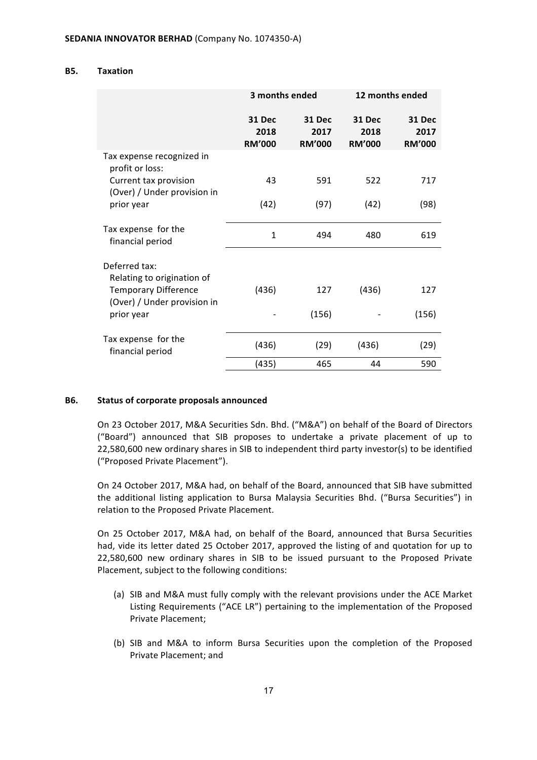#### **B5. Taxation**

|                                                            | 3 months ended                  |                                 |                                 | 12 months ended                        |
|------------------------------------------------------------|---------------------------------|---------------------------------|---------------------------------|----------------------------------------|
|                                                            | 31 Dec<br>2018<br><b>RM'000</b> | 31 Dec<br>2017<br><b>RM'000</b> | 31 Dec<br>2018<br><b>RM'000</b> | <b>31 Dec</b><br>2017<br><b>RM'000</b> |
| Tax expense recognized in<br>profit or loss:               |                                 |                                 |                                 |                                        |
| Current tax provision<br>(Over) / Under provision in       | 43                              | 591                             | 522                             | 717                                    |
| prior year                                                 | (42)                            | (97)                            | (42)                            | (98)                                   |
| Tax expense for the<br>financial period                    | $\mathbf{1}$                    | 494                             | 480                             | 619                                    |
| Deferred tax:<br>Relating to origination of                |                                 |                                 |                                 |                                        |
| <b>Temporary Difference</b><br>(Over) / Under provision in | (436)                           | 127                             | (436)                           | 127                                    |
| prior year                                                 |                                 | (156)                           |                                 | (156)                                  |
| Tax expense for the<br>financial period                    | (436)                           | (29)                            | (436)                           | (29)                                   |
|                                                            | (435)                           | 465                             | 44                              | 590                                    |

#### **B6.** Status of corporate proposals announced

On 23 October 2017, M&A Securities Sdn. Bhd. ("M&A") on behalf of the Board of Directors ("Board") announced that SIB proposes to undertake a private placement of up to 22,580,600 new ordinary shares in SIB to independent third party investor(s) to be identified ("Proposed Private Placement").

On 24 October 2017, M&A had, on behalf of the Board, announced that SIB have submitted the additional listing application to Bursa Malaysia Securities Bhd. ("Bursa Securities") in relation to the Proposed Private Placement.

On 25 October 2017, M&A had, on behalf of the Board, announced that Bursa Securities had, vide its letter dated 25 October 2017, approved the listing of and quotation for up to 22,580,600 new ordinary shares in SIB to be issued pursuant to the Proposed Private Placement, subject to the following conditions:

- (a) SIB and M&A must fully comply with the relevant provisions under the ACE Market Listing Requirements ("ACE LR") pertaining to the implementation of the Proposed Private Placement;
- (b) SIB and M&A to inform Bursa Securities upon the completion of the Proposed Private Placement; and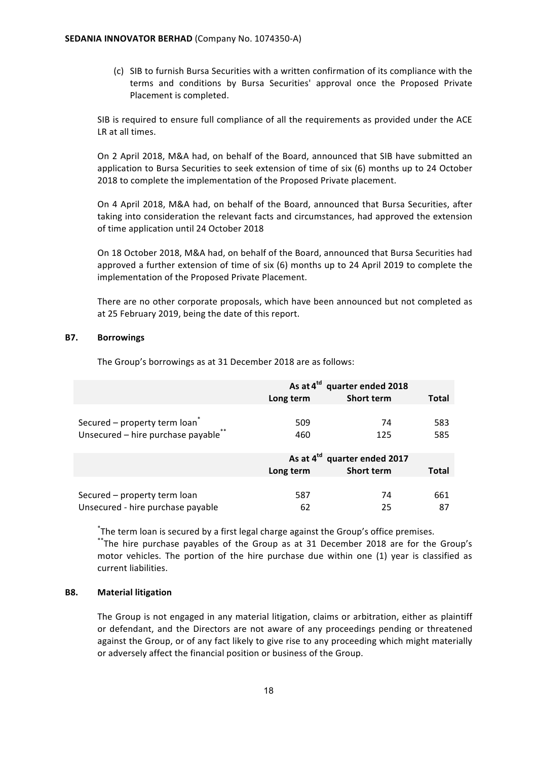(c) SIB to furnish Bursa Securities with a written confirmation of its compliance with the terms and conditions by Bursa Securities' approval once the Proposed Private Placement is completed.

SIB is required to ensure full compliance of all the requirements as provided under the ACE LR at all times.

On 2 April 2018, M&A had, on behalf of the Board, announced that SIB have submitted an application to Bursa Securities to seek extension of time of  $six(6)$  months up to 24 October 2018 to complete the implementation of the Proposed Private placement.

On 4 April 2018, M&A had, on behalf of the Board, announced that Bursa Securities, after taking into consideration the relevant facts and circumstances, had approved the extension of time application until 24 October 2018

On 18 October 2018, M&A had, on behalf of the Board, announced that Bursa Securities had approved a further extension of time of six  $(6)$  months up to 24 April 2019 to complete the implementation of the Proposed Private Placement.

There are no other corporate proposals, which have been announced but not completed as at 25 February 2019, being the date of this report.

## **B7. Borrowings**

The Group's borrowings as at 31 December 2018 are as follows:

|                                           | As at 4 <sup>td</sup> quarter ended 2018 |                   |              |
|-------------------------------------------|------------------------------------------|-------------------|--------------|
|                                           | Long term                                | <b>Short term</b> | <b>Total</b> |
|                                           |                                          |                   |              |
| Secured - property term loan <sup>®</sup> | 509                                      | 74                | 583          |
| Unsecured - hire purchase payable**       | 460                                      | 125               | 585          |
|                                           |                                          |                   |              |
|                                           | As at 4 <sup>td</sup> quarter ended 2017 |                   |              |
|                                           | Long term                                | <b>Short term</b> | Total        |
|                                           |                                          |                   |              |

Secured – property term loan 587 587 74 661 Unsecured - hire purchase payable 62 62 25 87

\*The term loan is secured by a first legal charge against the Group's office premises.

\*\*The hire purchase payables of the Group as at 31 December 2018 are for the Group's motor vehicles. The portion of the hire purchase due within one (1) year is classified as current liabilities.

#### **B8. Material litigation**

The Group is not engaged in any material litigation, claims or arbitration, either as plaintiff or defendant, and the Directors are not aware of any proceedings pending or threatened against the Group, or of any fact likely to give rise to any proceeding which might materially or adversely affect the financial position or business of the Group.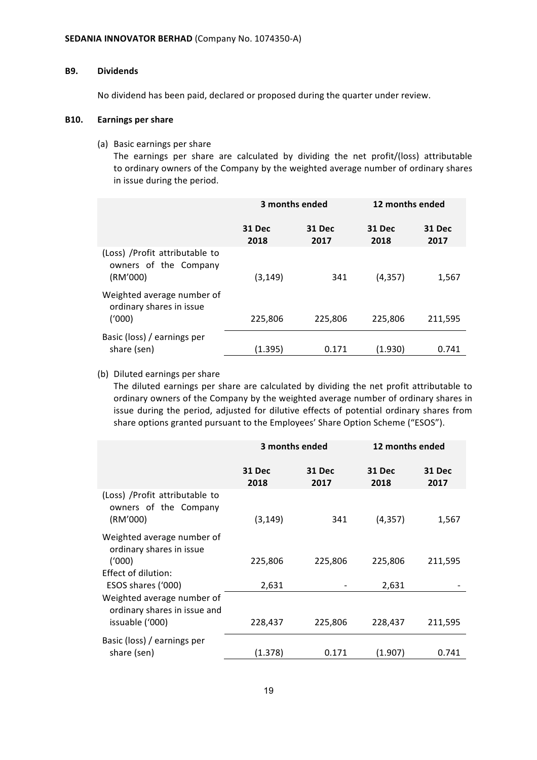#### **B9. Dividends**

No dividend has been paid, declared or proposed during the quarter under review.

#### **B10. Earnings per share**

(a) Basic earnings per share

The earnings per share are calculated by dividing the net profit/(loss) attributable to ordinary owners of the Company by the weighted average number of ordinary shares in issue during the period.

|                                                                      | 3 months ended        |                | 12 months ended |                |
|----------------------------------------------------------------------|-----------------------|----------------|-----------------|----------------|
|                                                                      | <b>31 Dec</b><br>2018 | 31 Dec<br>2017 | 31 Dec<br>2018  | 31 Dec<br>2017 |
| (Loss) / Profit attributable to<br>owners of the Company<br>(RM'000) | (3,149)               | 341            | (4, 357)        | 1,567          |
| Weighted average number of<br>ordinary shares in issue<br>('000)     | 225,806               | 225,806        | 225,806         | 211,595        |
| Basic (loss) / earnings per<br>share (sen)                           | (1.395)               | 0.171          | (1.930)         | 0.741          |

### (b) Diluted earnings per share

The diluted earnings per share are calculated by dividing the net profit attributable to ordinary owners of the Company by the weighted average number of ordinary shares in issue during the period, adjusted for dilutive effects of potential ordinary shares from share options granted pursuant to the Employees' Share Option Scheme ("ESOS").

|                                                                               | 3 months ended        |                | 12 months ended       |                |
|-------------------------------------------------------------------------------|-----------------------|----------------|-----------------------|----------------|
|                                                                               | <b>31 Dec</b><br>2018 | 31 Dec<br>2017 | <b>31 Dec</b><br>2018 | 31 Dec<br>2017 |
| (Loss) / Profit attributable to<br>owners of the Company<br>(RM'000)          | (3, 149)              | 341            | (4, 357)              | 1,567          |
| Weighted average number of<br>ordinary shares in issue<br>(1000)              | 225,806               | 225,806        | 225,806               | 211,595        |
| Effect of dilution:<br>ESOS shares ('000)                                     | 2,631                 |                | 2,631                 |                |
| Weighted average number of<br>ordinary shares in issue and<br>issuable ('000) | 228,437               | 225,806        | 228,437               | 211,595        |
| Basic (loss) / earnings per<br>share (sen)                                    | (1.378)               | 0.171          | (1.907)               | 0.741          |